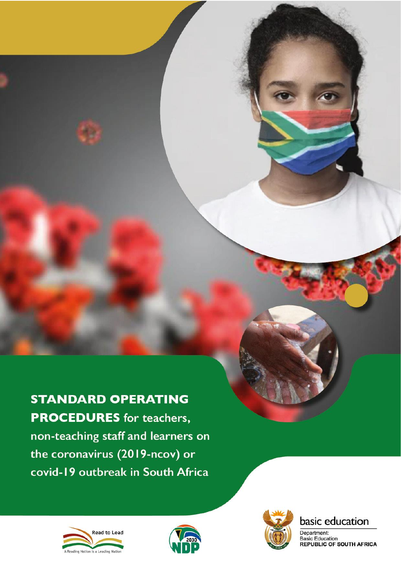**STANDARD OPERATING PROCEDURES** for teachers, non-teaching staff and learners on the coronavirus (2019-ncov) or covid-19 outbreak in South Africa









Department: Basic Education<br>REPUBLIC OF SOUTH AFRICA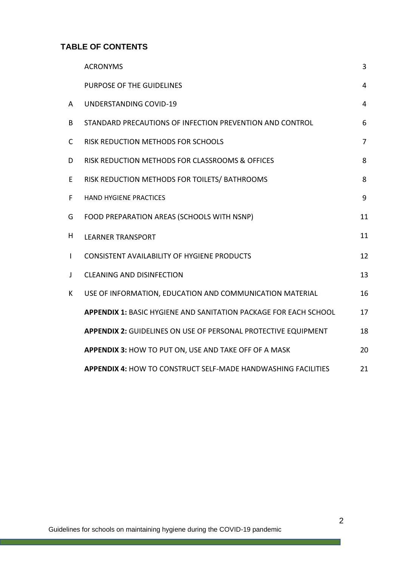## **TABLE OF CONTENTS**

|    | <b>ACRONYMS</b>                                                         | 3              |
|----|-------------------------------------------------------------------------|----------------|
|    | PURPOSE OF THE GUIDELINES                                               | $\overline{4}$ |
| A  | <b>UNDERSTANDING COVID-19</b>                                           | $\overline{4}$ |
| Β  | STANDARD PRECAUTIONS OF INFECTION PREVENTION AND CONTROL                | 6              |
| C  | RISK REDUCTION METHODS FOR SCHOOLS                                      | $\overline{7}$ |
| D  | RISK REDUCTION METHODS FOR CLASSROOMS & OFFICES                         | 8              |
| E  | RISK REDUCTION METHODS FOR TOILETS/ BATHROOMS                           | 8              |
| F  | <b>HAND HYGIENE PRACTICES</b>                                           | 9              |
| G  | FOOD PREPARATION AREAS (SCHOOLS WITH NSNP)                              | 11             |
| Н  | <b>LEARNER TRANSPORT</b>                                                | 11             |
| I  | <b>CONSISTENT AVAILABILITY OF HYGIENE PRODUCTS</b>                      | 12             |
| J  | <b>CLEANING AND DISINFECTION</b>                                        | 13             |
| K. | USE OF INFORMATION, EDUCATION AND COMMUNICATION MATERIAL                | 16             |
|    | <b>APPENDIX 1: BASIC HYGIENE AND SANITATION PACKAGE FOR EACH SCHOOL</b> | 17             |
|    | APPENDIX 2: GUIDELINES ON USE OF PERSONAL PROTECTIVE EQUIPMENT          | 18             |
|    | APPENDIX 3: HOW TO PUT ON, USE AND TAKE OFF OF A MASK                   | 20             |
|    | <b>APPENDIX 4: HOW TO CONSTRUCT SELF-MADE HANDWASHING FACILITIES</b>    | 21             |

Guidelines for schools on maintaining hygiene during the COVID-19 pandemic

 $\mathbb{R}^2$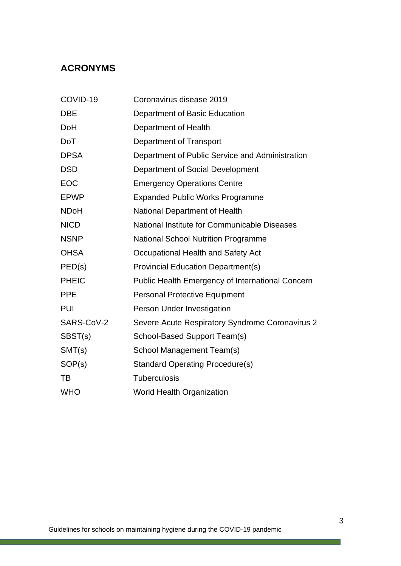# **ACRONYMS**

| COVID-19     | Coronavirus disease 2019                                |
|--------------|---------------------------------------------------------|
| <b>DBE</b>   | Department of Basic Education                           |
| <b>DoH</b>   | <b>Department of Health</b>                             |
| DoT          | Department of Transport                                 |
| <b>DPSA</b>  | Department of Public Service and Administration         |
| <b>DSD</b>   | Department of Social Development                        |
| <b>EOC</b>   | <b>Emergency Operations Centre</b>                      |
| <b>EPWP</b>  | <b>Expanded Public Works Programme</b>                  |
| <b>NDoH</b>  | <b>National Department of Health</b>                    |
| <b>NICD</b>  | National Institute for Communicable Diseases            |
| <b>NSNP</b>  | <b>National School Nutrition Programme</b>              |
| <b>OHSA</b>  | Occupational Health and Safety Act                      |
| PED(s)       | <b>Provincial Education Department(s)</b>               |
| <b>PHEIC</b> | <b>Public Health Emergency of International Concern</b> |
| <b>PPE</b>   | <b>Personal Protective Equipment</b>                    |
| <b>PUI</b>   | Person Under Investigation                              |
| SARS-CoV-2   | Severe Acute Respiratory Syndrome Coronavirus 2         |
| SBST(s)      | School-Based Support Team(s)                            |
| SMT(s)       | School Management Team(s)                               |
| SOP(s)       | <b>Standard Operating Procedure(s)</b>                  |
| TB           | <b>Tuberculosis</b>                                     |
| <b>WHO</b>   | <b>World Health Organization</b>                        |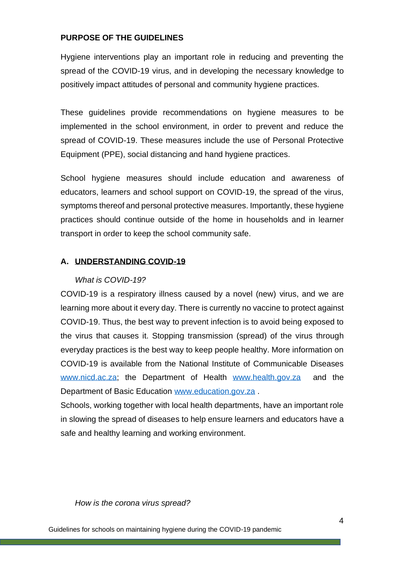#### **PURPOSE OF THE GUIDELINES**

Hygiene interventions play an important role in reducing and preventing the spread of the COVID-19 virus, and in developing the necessary knowledge to positively impact attitudes of personal and community hygiene practices.

These guidelines provide recommendations on hygiene measures to be implemented in the school environment, in order to prevent and reduce the spread of COVID-19. These measures include the use of Personal Protective Equipment (PPE), social distancing and hand hygiene practices.

School hygiene measures should include education and awareness of educators, learners and school support on COVID-19, the spread of the virus, symptoms thereof and personal protective measures. Importantly, these hygiene practices should continue outside of the home in households and in learner transport in order to keep the school community safe.

#### **A. UNDERSTANDING COVID-19**

#### *What is COVID-19?*

COVID-19 is a respiratory illness caused by a novel (new) virus, and we are learning more about it every day. There is currently no vaccine to protect against COVID-19. Thus, the best way to prevent infection is to avoid being exposed to the virus that causes it. Stopping transmission (spread) of the virus through everyday practices is the best way to keep people healthy. More information on COVID-19 is available from the National Institute of Communicable Diseases [www.nicd.ac.za;](http://www.nicd.ac.za/) the Department of Health [www.health.gov.za](http://www.health.gov.za/) and the Department of Basic Education [www.education.gov.za](http://www.education.gov.za/).

Schools, working together with local health departments, have an important role in slowing the spread of diseases to help ensure learners and educators have a safe and healthy learning and working environment.

#### *How is the corona virus spread?*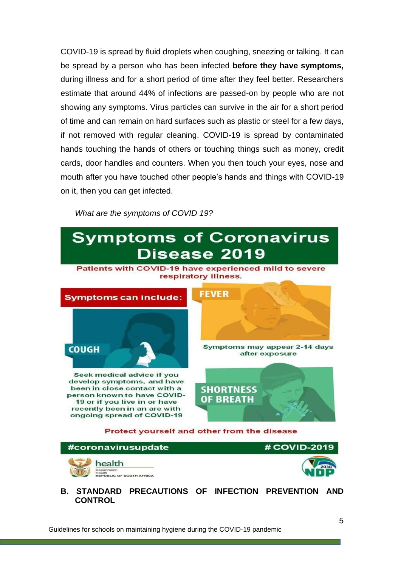COVID-19 is spread by fluid droplets when coughing, sneezing or talking. It can be spread by a person who has been infected **before they have symptoms,**  during illness and for a short period of time after they feel better. Researchers estimate that around 44% of infections are passed-on by people who are not showing any symptoms. Virus particles can survive in the air for a short period of time and can remain on hard surfaces such as plastic or steel for a few days, if not removed with regular cleaning. COVID-19 is spread by contaminated hands touching the hands of others or touching things such as money, credit cards, door handles and counters. When you then touch your eyes, nose and mouth after you have touched other people's hands and things with COVID-19 on it, then you can get infected.

*What are the symptoms of COVID 19?*

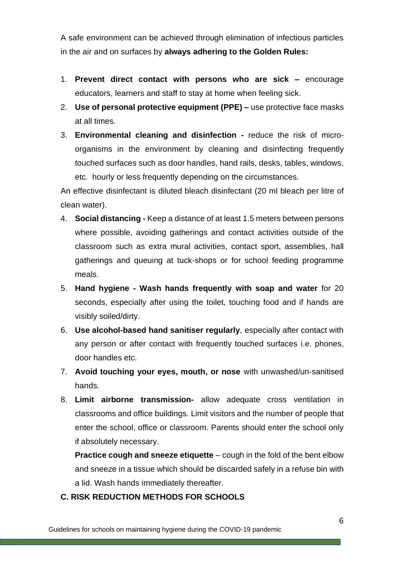A safe environment can be achieved through elimination of infectious particles in the air and on surfaces by **always adhering to the Golden Rules:**

- 1. **Prevent direct contact with persons who are sick –** encourage educators, learners and staff to stay at home when feeling sick.
- 2. **Use of personal protective equipment (PPE) –** use protective face masks at all times.
- 3. **Environmental cleaning and disinfection -** reduce the risk of microorganisms in the environment by cleaning and disinfecting frequently touched surfaces such as door handles, hand rails, desks, tables, windows, etc. hourly or less frequently depending on the circumstances.

An effective disinfectant is diluted bleach disinfectant (20 ml bleach per litre of clean water).

- 4. **Social distancing -** Keep a distance of at least 1.5 meters between persons where possible, avoiding gatherings and contact activities outside of the classroom such as extra mural activities, contact sport, assemblies, hall gatherings and queuing at tuck-shops or for school feeding programme meals.
- 5. **Hand hygiene - Wash hands frequently with soap and water** for 20 seconds, especially after using the toilet, touching food and if hands are visibly soiled/dirty.
- 6. **Use alcohol-based hand sanitiser regularly**, especially after contact with any person or after contact with frequently touched surfaces i.e. phones, door handles etc.
- 7. **Avoid touching your eyes, mouth, or nose** with unwashed/un-sanitised hands.
- 8. **Limit airborne transmission-** allow adequate cross ventilation in classrooms and office buildings. Limit visitors and the number of people that enter the school, office or classroom. Parents should enter the school only if absolutely necessary.

**Practice cough and sneeze etiquette** – cough in the fold of the bent elbow and sneeze in a tissue which should be discarded safely in a refuse bin with a lid. Wash hands immediately thereafter.

#### **C. RISK REDUCTION METHODS FOR SCHOOLS**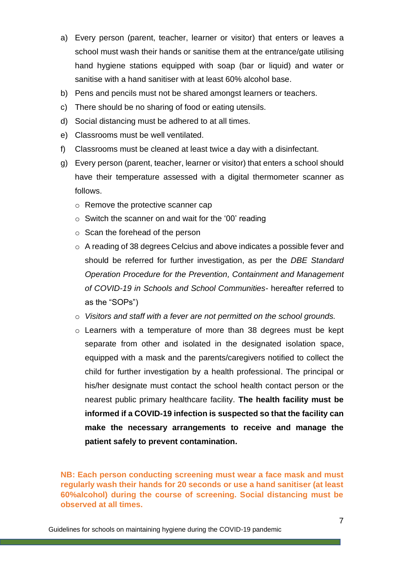- a) Every person (parent, teacher, learner or visitor) that enters or leaves a school must wash their hands or sanitise them at the entrance/gate utilising hand hygiene stations equipped with soap (bar or liquid) and water or sanitise with a hand sanitiser with at least 60% alcohol base.
- b) Pens and pencils must not be shared amongst learners or teachers.
- c) There should be no sharing of food or eating utensils.
- d) Social distancing must be adhered to at all times.
- e) Classrooms must be well ventilated.
- f) Classrooms must be cleaned at least twice a day with a disinfectant.
- g) Every person (parent, teacher, learner or visitor) that enters a school should have their temperature assessed with a digital thermometer scanner as follows.
	- o Remove the protective scanner cap
	- o Switch the scanner on and wait for the '00' reading
	- o Scan the forehead of the person
	- o A reading of 38 degrees Celcius and above indicates a possible fever and should be referred for further investigation, as per the *DBE Standard Operation Procedure for the Prevention, Containment and Management of COVID-19 in Schools and School Communities*- hereafter referred to as the "SOPs")
	- o *Visitors and staff with a fever are not permitted on the school grounds.*
	- $\circ$  Learners with a temperature of more than 38 degrees must be kept separate from other and isolated in the designated isolation space, equipped with a mask and the parents/caregivers notified to collect the child for further investigation by a health professional. The principal or his/her designate must contact the school health contact person or the nearest public primary healthcare facility. **The health facility must be informed if a COVID-19 infection is suspected so that the facility can make the necessary arrangements to receive and manage the patient safely to prevent contamination.**

**NB: Each person conducting screening must wear a face mask and must regularly wash their hands for 20 seconds or use a hand sanitiser (at least 60%alcohol) during the course of screening. Social distancing must be observed at all times.**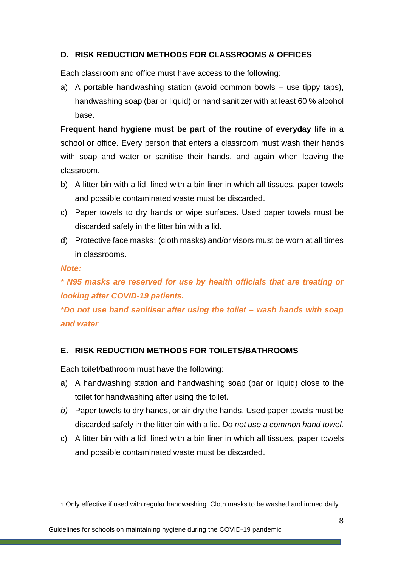#### **D. RISK REDUCTION METHODS FOR CLASSROOMS & OFFICES**

Each classroom and office must have access to the following:

a) A portable handwashing station (avoid common bowls – use tippy taps), handwashing soap (bar or liquid) or hand sanitizer with at least 60 % alcohol base.

**Frequent hand hygiene must be part of the routine of everyday life** in a school or office. Every person that enters a classroom must wash their hands with soap and water or sanitise their hands, and again when leaving the classroom.

- b) A litter bin with a lid, lined with a bin liner in which all tissues, paper towels and possible contaminated waste must be discarded.
- c) Paper towels to dry hands or wipe surfaces. Used paper towels must be discarded safely in the litter bin with a lid.
- d) Protective face masks<sub>1</sub> (cloth masks) and/or visors must be worn at all times in classrooms.

#### *Note:*

*\* N95 masks are reserved for use by health officials that are treating or looking after COVID-19 patients.* 

*\*Do not use hand sanitiser after using the toilet – wash hands with soap and water*

#### **E. RISK REDUCTION METHODS FOR TOILETS/BATHROOMS**

Each toilet/bathroom must have the following:

- a) A handwashing station and handwashing soap (bar or liquid) close to the toilet for handwashing after using the toilet.
- *b)* Paper towels to dry hands, or air dry the hands. Used paper towels must be discarded safely in the litter bin with a lid. *Do not use a common hand towel.*
- c) A litter bin with a lid, lined with a bin liner in which all tissues, paper towels and possible contaminated waste must be discarded.

<sup>1</sup> Only effective if used with regular handwashing. Cloth masks to be washed and ironed daily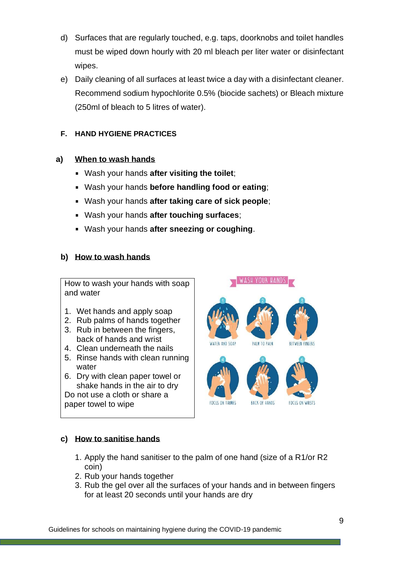- d) Surfaces that are regularly touched, e.g. taps, doorknobs and toilet handles must be wiped down hourly with 20 ml bleach per liter water or disinfectant wipes.
- e) Daily cleaning of all surfaces at least twice a day with a disinfectant cleaner. Recommend sodium hypochlorite 0.5% (biocide sachets) or Bleach mixture (250ml of bleach to 5 litres of water).

### **F. HAND HYGIENE PRACTICES**

#### **a) When to wash hands**

- Wash your hands **after visiting the toilet**;
- Wash your hands **before handling food or eating**;
- Wash your hands **after taking care of sick people**;
- Wash your hands **after touching surfaces**;
- Wash your hands **after sneezing or coughing**.

#### **b) How to wash hands**

How to wash your hands with soap and water

- 1. Wet hands and apply soap
- 2. Rub palms of hands together
- 3. Rub in between the fingers, back of hands and wrist
- 4. Clean underneath the nails
- 5. Rinse hands with clean running water
- 6. Dry with clean paper towel or shake hands in the air to dry Do not use a cloth or share a paper towel to wipe



## **c) How to sanitise hands**

- 1. Apply the hand sanitiser to the palm of one hand (size of a R1/or R2 coin)
- 2. Rub your hands together
- 3. Rub the gel over all the surfaces of your hands and in between fingers for at least 20 seconds until your hands are dry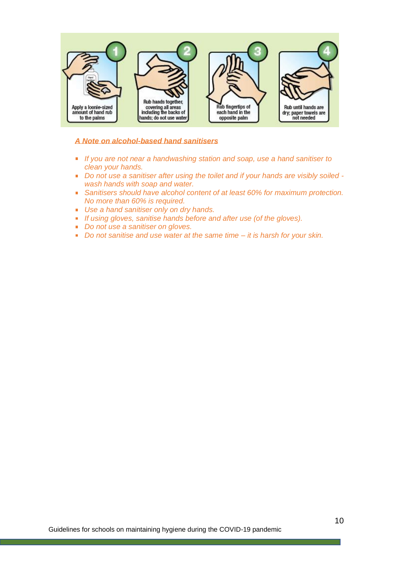

#### *A Note on alcohol-based hand sanitisers*

- *If you are not near a handwashing station and soap, use a hand sanitiser to clean your hands.*
- *Do not use a sanitiser after using the toilet and if your hands are visibly soiled wash hands with soap and water.*
- **Sanitisers should have alcohol content of at least 60% for maximum protection.** *No more than 60% is required.*
- *Use a hand sanitiser only on dry hands.*
- *If using gloves, sanitise hands before and after use (of the gloves).*
- *Do not use a sanitiser on gloves.*
- *Do not sanitise and use water at the same time it is harsh for your skin.*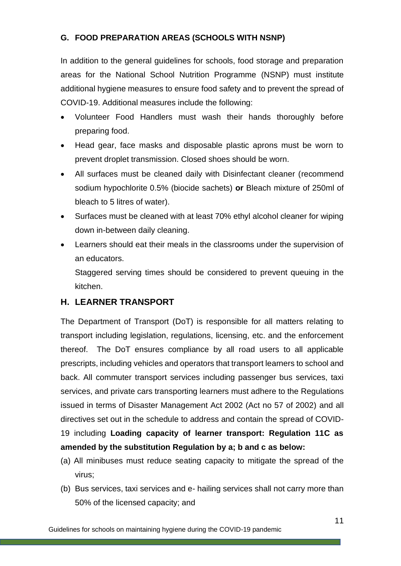### **G. FOOD PREPARATION AREAS (SCHOOLS WITH NSNP)**

In addition to the general guidelines for schools, food storage and preparation areas for the National School Nutrition Programme (NSNP) must institute additional hygiene measures to ensure food safety and to prevent the spread of COVID-19. Additional measures include the following:

- Volunteer Food Handlers must wash their hands thoroughly before preparing food.
- Head gear, face masks and disposable plastic aprons must be worn to prevent droplet transmission. Closed shoes should be worn.
- All surfaces must be cleaned daily with Disinfectant cleaner (recommend sodium hypochlorite 0.5% (biocide sachets) **or** Bleach mixture of 250ml of bleach to 5 litres of water).
- Surfaces must be cleaned with at least 70% ethyl alcohol cleaner for wiping down in-between daily cleaning.
- Learners should eat their meals in the classrooms under the supervision of an educators.

Staggered serving times should be considered to prevent queuing in the kitchen.

## **H. LEARNER TRANSPORT**

The Department of Transport (DoT) is responsible for all matters relating to transport including legislation, regulations, licensing, etc. and the enforcement thereof. The DoT ensures compliance by all road users to all applicable prescripts, including vehicles and operators that transport learners to school and back. All commuter transport services including passenger bus services, taxi services, and private cars transporting learners must adhere to the Regulations issued in terms of Disaster Management Act 2002 (Act no 57 of 2002) and all directives set out in the schedule to address and contain the spread of COVID-19 including **Loading capacity of learner transport: Regulation 11C as** 

**amended by the substitution Regulation by a; b and c as below:**

- (a) All minibuses must reduce seating capacity to mitigate the spread of the virus;
- (b) Bus services, taxi services and e- hailing services shall not carry more than 50% of the licensed capacity; and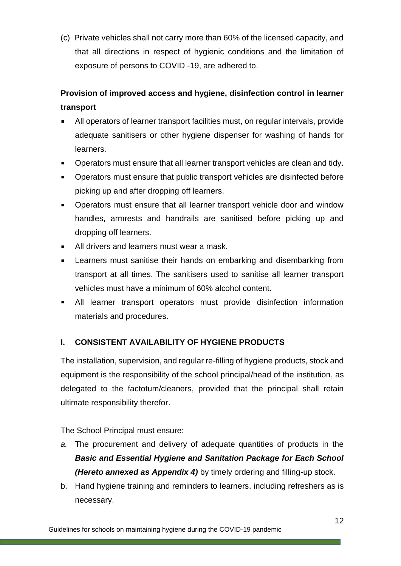(c) Private vehicles shall not carry more than 60% of the licensed capacity, and that all directions in respect of hygienic conditions and the limitation of exposure of persons to COVID -19, are adhered to.

# **Provision of improved access and hygiene, disinfection control in learner transport**

- All operators of learner transport facilities must, on regular intervals, provide adequate sanitisers or other hygiene dispenser for washing of hands for learners.
- $\blacksquare$ Operators must ensure that all learner transport vehicles are clean and tidy.
- Operators must ensure that public transport vehicles are disinfected before a li picking up and after dropping off learners.
- Operators must ensure that all learner transport vehicle door and window  $\blacksquare$ handles, armrests and handrails are sanitised before picking up and dropping off learners.
- $\blacksquare$ All drivers and learners must wear a mask.
- Learners must sanitise their hands on embarking and disembarking from  $\blacksquare$ transport at all times. The sanitisers used to sanitise all learner transport vehicles must have a minimum of 60% alcohol content.
- All learner transport operators must provide disinfection information  $\blacksquare$ materials and procedures.

## **I. CONSISTENT AVAILABILITY OF HYGIENE PRODUCTS**

The installation, supervision, and regular re-filling of hygiene products, stock and equipment is the responsibility of the school principal/head of the institution, as delegated to the factotum/cleaners, provided that the principal shall retain ultimate responsibility therefor.

The School Principal must ensure:

- *a.* The procurement and delivery of adequate quantities of products in the *Basic and Essential Hygiene and Sanitation Package for Each School (Hereto annexed as Appendix 4)* by timely ordering and filling-up stock.
- b. Hand hygiene training and reminders to learners, including refreshers as is necessary.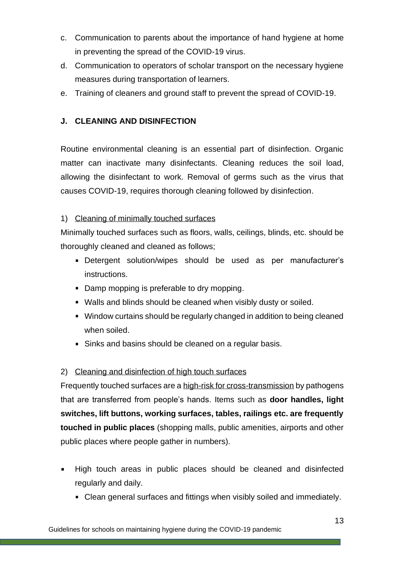- c. Communication to parents about the importance of hand hygiene at home in preventing the spread of the COVID-19 virus.
- d. Communication to operators of scholar transport on the necessary hygiene measures during transportation of learners.
- e. Training of cleaners and ground staff to prevent the spread of COVID-19.

### **J. CLEANING AND DISINFECTION**

Routine environmental cleaning is an essential part of disinfection. Organic matter can inactivate many disinfectants. Cleaning reduces the soil load, allowing the disinfectant to work. Removal of germs such as the virus that causes COVID-19, requires thorough cleaning followed by disinfection.

#### 1) Cleaning of minimally touched surfaces

Minimally touched surfaces such as floors, walls, ceilings, blinds, etc. should be thoroughly cleaned and cleaned as follows;

- Detergent solution/wipes should be used as per manufacturer's instructions.
- Damp mopping is preferable to dry mopping.
- Walls and blinds should be cleaned when visibly dusty or soiled.
- Window curtains should be regularly changed in addition to being cleaned when soiled.
- Sinks and basins should be cleaned on a regular basis.

## 2) Cleaning and disinfection of high touch surfaces

Frequently touched surfaces are a high-risk for cross-transmission by pathogens that are transferred from people's hands. Items such as **door handles, light switches, lift buttons, working surfaces, tables, railings etc. are frequently touched in public places** (shopping malls, public amenities, airports and other public places where people gather in numbers).

- High touch areas in public places should be cleaned and disinfected regularly and daily.
	- Clean general surfaces and fittings when visibly soiled and immediately.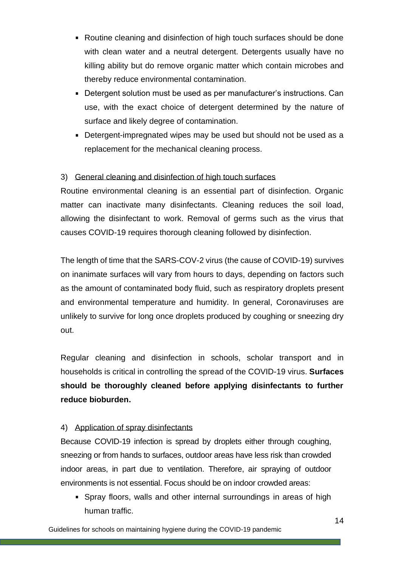- Routine cleaning and disinfection of high touch surfaces should be done with clean water and a neutral detergent. Detergents usually have no killing ability but do remove organic matter which contain microbes and thereby reduce environmental contamination.
- Detergent solution must be used as per manufacturer's instructions. Can use, with the exact choice of detergent determined by the nature of surface and likely degree of contamination.
- Detergent-impregnated wipes may be used but should not be used as a replacement for the mechanical cleaning process.

#### 3) General cleaning and disinfection of high touch surfaces

Routine environmental cleaning is an essential part of disinfection. Organic matter can inactivate many disinfectants. Cleaning reduces the soil load, allowing the disinfectant to work. Removal of germs such as the virus that causes COVID-19 requires thorough cleaning followed by disinfection.

The length of time that the SARS-COV-2 virus (the cause of COVID-19) survives on inanimate surfaces will vary from hours to days, depending on factors such as the amount of contaminated body fluid, such as respiratory droplets present and environmental temperature and humidity. In general, Coronaviruses are unlikely to survive for long once droplets produced by coughing or sneezing dry out.

Regular cleaning and disinfection in schools, scholar transport and in households is critical in controlling the spread of the COVID-19 virus. **Surfaces should be thoroughly cleaned before applying disinfectants to further reduce bioburden.** 

#### 4) Application of spray disinfectants

Because COVID-19 infection is spread by droplets either through coughing, sneezing or from hands to surfaces, outdoor areas have less risk than crowded indoor areas, in part due to ventilation. Therefore, air spraying of outdoor environments is not essential. Focus should be on indoor crowded areas:

Spray floors, walls and other internal surroundings in areas of high human traffic.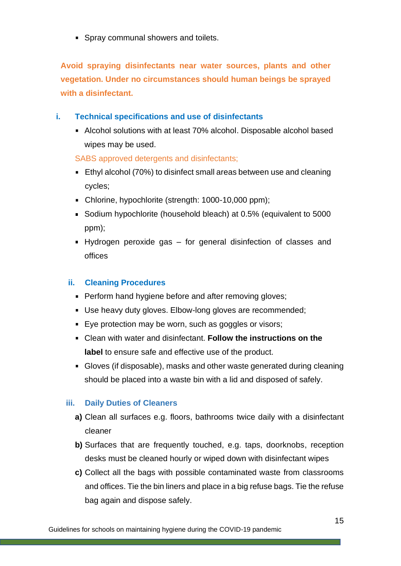**Spray communal showers and toilets.** 

**Avoid spraying disinfectants near water sources, plants and other vegetation. Under no circumstances should human beings be sprayed with a disinfectant.** 

- **i. Technical specifications and use of disinfectants**
	- Alcohol solutions with at least 70% alcohol. Disposable alcohol based wipes may be used.

SABS approved detergents and disinfectants;

- Ethyl alcohol (70%) to disinfect small areas between use and cleaning cycles;
- Chlorine, hypochlorite (strength: 1000-10,000 ppm);
- Sodium hypochlorite (household bleach) at 0.5% (equivalent to 5000 ppm);
- Hydrogen peroxide gas for general disinfection of classes and offices

#### **ii. Cleaning Procedures**

- **Perform hand hygiene before and after removing gloves;**
- Use heavy duty gloves. Elbow-long gloves are recommended;
- **Eye protection may be worn, such as goggles or visors;**
- Clean with water and disinfectant. **Follow the instructions on the label** to ensure safe and effective use of the product.
- Gloves (if disposable), masks and other waste generated during cleaning should be placed into a waste bin with a lid and disposed of safely.

#### **iii. Daily Duties of Cleaners**

- **a)** Clean all surfaces e.g. floors, bathrooms twice daily with a disinfectant cleaner
- **b)** Surfaces that are frequently touched, e.g. taps, doorknobs, reception desks must be cleaned hourly or wiped down with disinfectant wipes
- **c)** Collect all the bags with possible contaminated waste from classrooms and offices. Tie the bin liners and place in a big refuse bags. Tie the refuse bag again and dispose safely.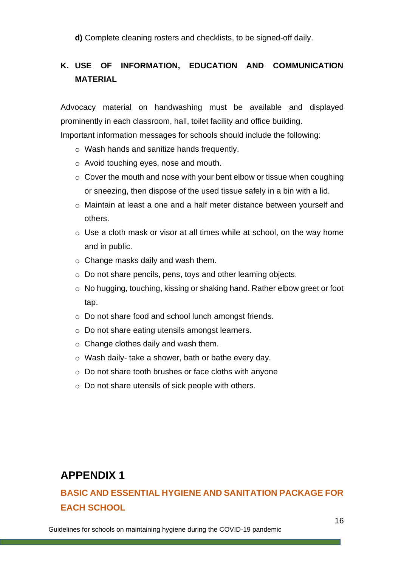**d)** Complete cleaning rosters and checklists, to be signed-off daily.

# **K. USE OF INFORMATION, EDUCATION AND COMMUNICATION MATERIAL**

Advocacy material on handwashing must be available and displayed prominently in each classroom, hall, toilet facility and office building.

Important information messages for schools should include the following:

- o Wash hands and sanitize hands frequently.
- o Avoid touching eyes, nose and mouth.
- $\circ$  Cover the mouth and nose with your bent elbow or tissue when coughing or sneezing, then dispose of the used tissue safely in a bin with a lid.
- o Maintain at least a one and a half meter distance between yourself and others.
- $\circ$  Use a cloth mask or visor at all times while at school, on the way home and in public.
- o Change masks daily and wash them.
- o Do not share pencils, pens, toys and other learning objects.
- o No hugging, touching, kissing or shaking hand. Rather elbow greet or foot tap.
- o Do not share food and school lunch amongst friends.
- o Do not share eating utensils amongst learners.
- $\circ$  Change clothes daily and wash them.
- o Wash daily- take a shower, bath or bathe every day.
- o Do not share tooth brushes or face cloths with anyone
- o Do not share utensils of sick people with others.

# **APPENDIX 1**

# **BASIC AND ESSENTIAL HYGIENE AND SANITATION PACKAGE FOR EACH SCHOOL**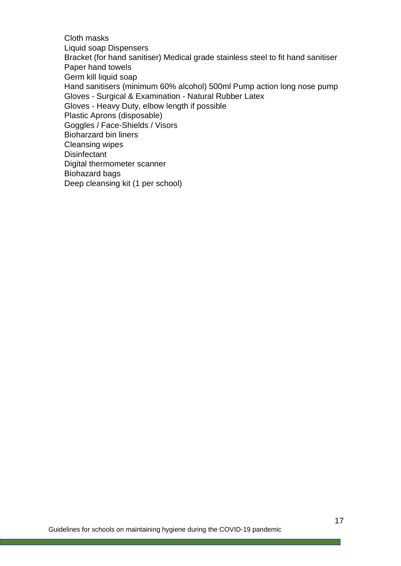Cloth masks Liquid soap Dispensers Bracket (for hand sanitiser) Medical grade stainless steel to fit hand sanitiser Paper hand towels Germ kill liquid soap Hand sanitisers (minimum 60% alcohol) 500ml Pump action long nose pump Gloves - Surgical & Examination - Natural Rubber Latex Gloves - Heavy Duty, elbow length if possible Plastic Aprons (disposable) Goggles / Face-Shields / Visors Bioharzard bin liners Cleansing wipes **Disinfectant** Digital thermometer scanner Biohazard bags Deep cleansing kit (1 per school)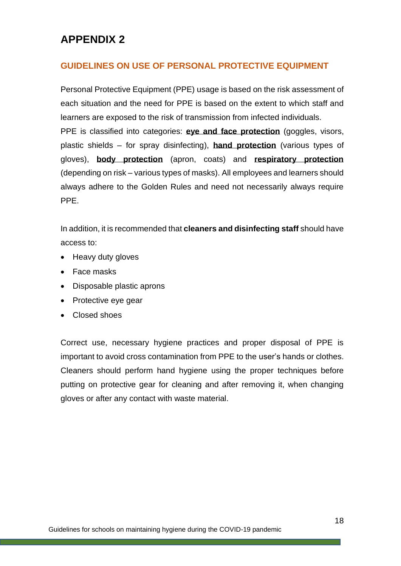# **APPENDIX 2**

#### **GUIDELINES ON USE OF PERSONAL PROTECTIVE EQUIPMENT**

Personal Protective Equipment (PPE) usage is based on the risk assessment of each situation and the need for PPE is based on the extent to which staff and learners are exposed to the risk of transmission from infected individuals. PPE is classified into categories: **eye and face protection** (goggles, visors, plastic shields – for spray disinfecting), **hand protection** (various types of gloves), **body protection** (apron, coats) and **respiratory protection**  (depending on risk – various types of masks). All employees and learners should always adhere to the Golden Rules and need not necessarily always require PPE.

In addition, it is recommended that **cleaners and disinfecting staff** should have access to:

- Heavy duty gloves
- Face masks
- Disposable plastic aprons
- Protective eye gear
- Closed shoes

Correct use, necessary hygiene practices and proper disposal of PPE is important to avoid cross contamination from PPE to the user's hands or clothes. Cleaners should perform hand hygiene using the proper techniques before putting on protective gear for cleaning and after removing it, when changing gloves or after any contact with waste material.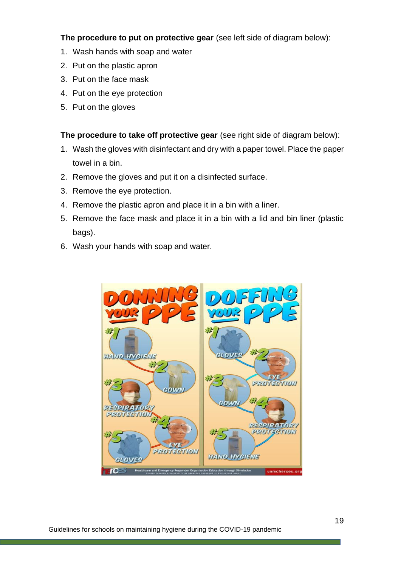**The procedure to put on protective gear** (see left side of diagram below):

- 1. Wash hands with soap and water
- 2. Put on the plastic apron
- 3. Put on the face mask
- 4. Put on the eye protection
- 5. Put on the gloves

**The procedure to take off protective gear** (see right side of diagram below):

- 1. Wash the gloves with disinfectant and dry with a paper towel. Place the paper towel in a bin.
- 2. Remove the gloves and put it on a disinfected surface.
- 3. Remove the eye protection.
- 4. Remove the plastic apron and place it in a bin with a liner.
- 5. Remove the face mask and place it in a bin with a lid and bin liner (plastic bags).
- 6. Wash your hands with soap and water.

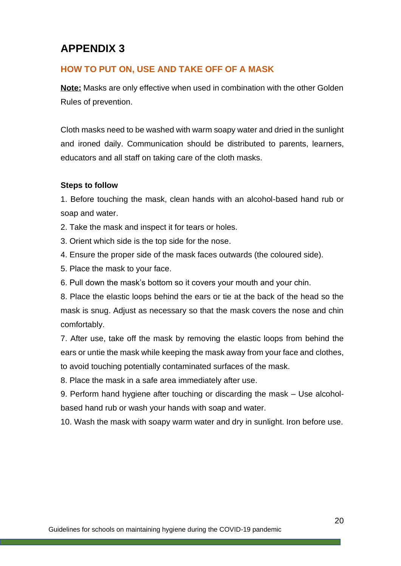# **APPENDIX 3**

## **HOW TO PUT ON, USE AND TAKE OFF OF A MASK**

**Note:** Masks are only effective when used in combination with the other Golden Rules of prevention.

Cloth masks need to be washed with warm soapy water and dried in the sunlight and ironed daily. Communication should be distributed to parents, learners, educators and all staff on taking care of the cloth masks.

#### **Steps to follow**

1. Before touching the mask, clean hands with an alcohol-based hand rub or soap and water.

2. Take the mask and inspect it for tears or holes.

- 3. Orient which side is the top side for the nose.
- 4. Ensure the proper side of the mask faces outwards (the coloured side).
- 5. Place the mask to your face.
- 6. Pull down the mask's bottom so it covers your mouth and your chin.

8. Place the elastic loops behind the ears or tie at the back of the head so the mask is snug. Adjust as necessary so that the mask covers the nose and chin comfortably.

7. After use, take off the mask by removing the elastic loops from behind the ears or untie the mask while keeping the mask away from your face and clothes, to avoid touching potentially contaminated surfaces of the mask.

8. Place the mask in a safe area immediately after use.

9. Perform hand hygiene after touching or discarding the mask – Use alcoholbased hand rub or wash your hands with soap and water.

10. Wash the mask with soapy warm water and dry in sunlight. Iron before use.